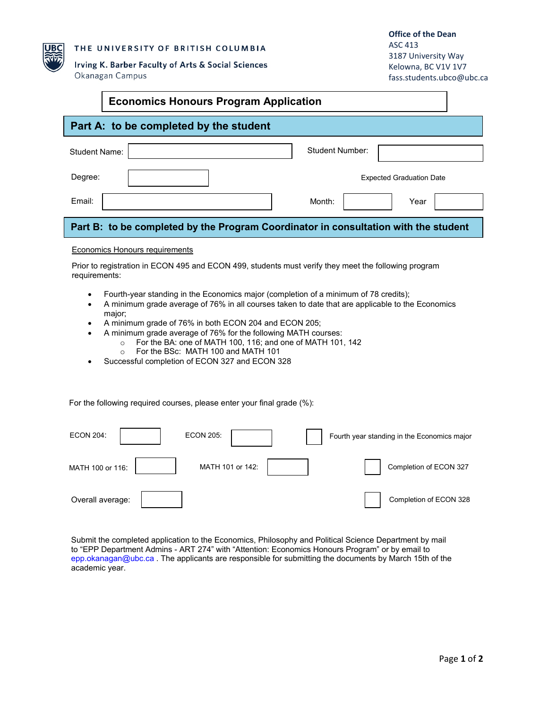

 $\Gamma$ 

### THE UNIVERSITY OF BRITISH COLUMBIA

Irving K. Barber Faculty of Arts & Social Sciences Okanagan Campus

ASC 413 3187 University Way Kelowna, BC V1V 1V7 [fass.students.ubco@ubc.ca](mailto:fass.students.ubco@ubc.ca)

┑

| <b>Economics Honours Program Application</b>                                                                                           |                        |                                 |  |  |  |  |
|----------------------------------------------------------------------------------------------------------------------------------------|------------------------|---------------------------------|--|--|--|--|
| Part A: to be completed by the student                                                                                                 |                        |                                 |  |  |  |  |
| Student Name:                                                                                                                          | <b>Student Number:</b> |                                 |  |  |  |  |
| Degree:                                                                                                                                |                        | <b>Expected Graduation Date</b> |  |  |  |  |
| Email:                                                                                                                                 | Month:                 | Year                            |  |  |  |  |
| Part B: to be completed by the Program Coordinator in consultation with the student                                                    |                        |                                 |  |  |  |  |
| Economics Honours requirements<br>Driar to registration in ECON 405 and ECON 400, students must verify they meet the following program |                        |                                 |  |  |  |  |

Prior to registration in ECON 495 and ECON 499, students must verify they meet the following program requirements:

- Fourth-year standing in the Economics major (completion of a minimum of 78 credits);
- A minimum grade average of 76% in all courses taken to date that are applicable to the Economics major;
- A minimum grade of 76% in both ECON 204 and ECON 205;
- A minimum grade average of 76% for the following MATH courses:
	- $\circ$  For the BA: one of MATH 100, 116; and one of MATH 101, 142<br> $\circ$  For the BSc: MATH 100 and MATH 101
		- For the BSc: MATH 100 and MATH 101
- Successful completion of ECON 327 and ECON 328

For the following required courses, please enter your final grade (%):

| <b>ECON 204:</b> | <b>ECON 205:</b> |  | Fourth year standing in the Economics major |
|------------------|------------------|--|---------------------------------------------|
| MATH 100 or 116: | MATH 101 or 142: |  | Completion of ECON 327                      |
| Overall average: |                  |  | Completion of ECON 328                      |

Submit the completed application to the Economics, Philosophy and Political Science Department by mail to "EPP Department Admins - ART 274" with "Attention: Economics Honours Program" or by email to [epp.okanagan@ubc.ca](mailto:epp.okanagan@ubc.ca) . The applicants are responsible for submitting the documents by March 15th of the academic year.